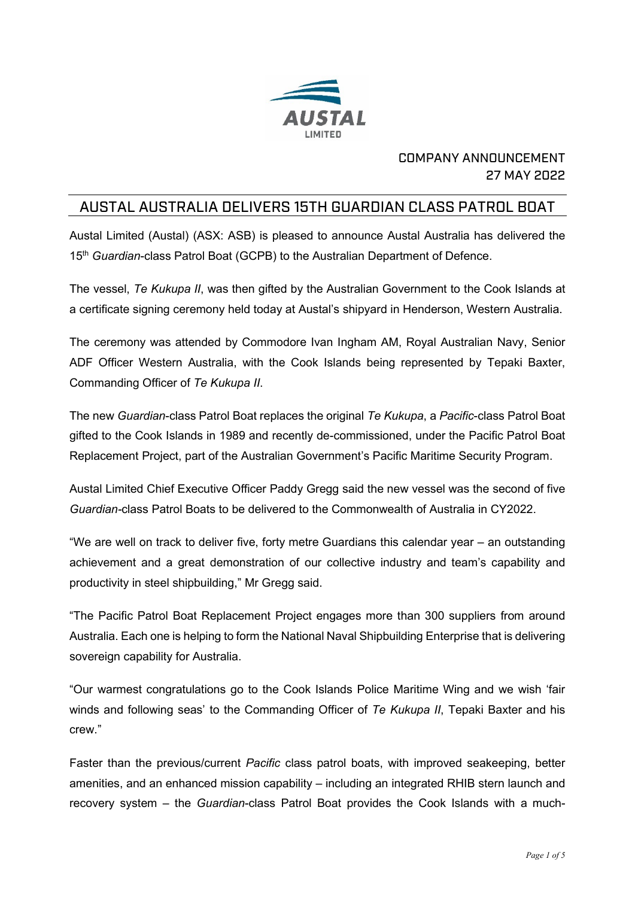

## COMPANY ANNOUNCEMENT 27 MAY 2022

## AUSTAL AUSTRALIA DELIVERS 15TH GUARDIAN CLASS PATROL BOAT

Austal Limited (Austal) (ASX: ASB) is pleased to announce Austal Australia has delivered the 15<sup>th</sup> Guardian-class Patrol Boat (GCPB) to the Australian Department of Defence.

The vessel, *Te Kukupa II*, was then gifted by the Australian Government to the Cook Islands at a certificate signing ceremony held today at Austal's shipyard in Henderson, Western Australia.

The ceremony was attended by Commodore Ivan Ingham AM, Royal Australian Navy, Senior ADF Officer Western Australia, with the Cook Islands being represented by Tepaki Baxter, Commanding Officer of *Te Kukupa II*.

The new *Guardian*-class Patrol Boat replaces the original *Te Kukupa*, a *Pacific*-class Patrol Boat gifted to the Cook Islands in 1989 and recently de-commissioned, under the Pacific Patrol Boat Replacement Project, part of the Australian Government's Pacific Maritime Security Program.

Austal Limited Chief Executive Officer Paddy Gregg said the new vessel was the second of five *Guardian-*class Patrol Boats to be delivered to the Commonwealth of Australia in CY2022.

"We are well on track to deliver five, forty metre Guardians this calendar year – an outstanding achievement and a great demonstration of our collective industry and team's capability and productivity in steel shipbuilding," Mr Gregg said.

"The Pacific Patrol Boat Replacement Project engages more than 300 suppliers from around Australia. Each one is helping to form the National Naval Shipbuilding Enterprise that is delivering sovereign capability for Australia.

"Our warmest congratulations go to the Cook Islands Police Maritime Wing and we wish 'fair winds and following seas' to the Commanding Officer of *Te Kukupa II*, Tepaki Baxter and his crew."

Faster than the previous/current *Pacific* class patrol boats, with improved seakeeping, better amenities, and an enhanced mission capability – including an integrated RHIB stern launch and recovery system – the *Guardian*-class Patrol Boat provides the Cook Islands with a much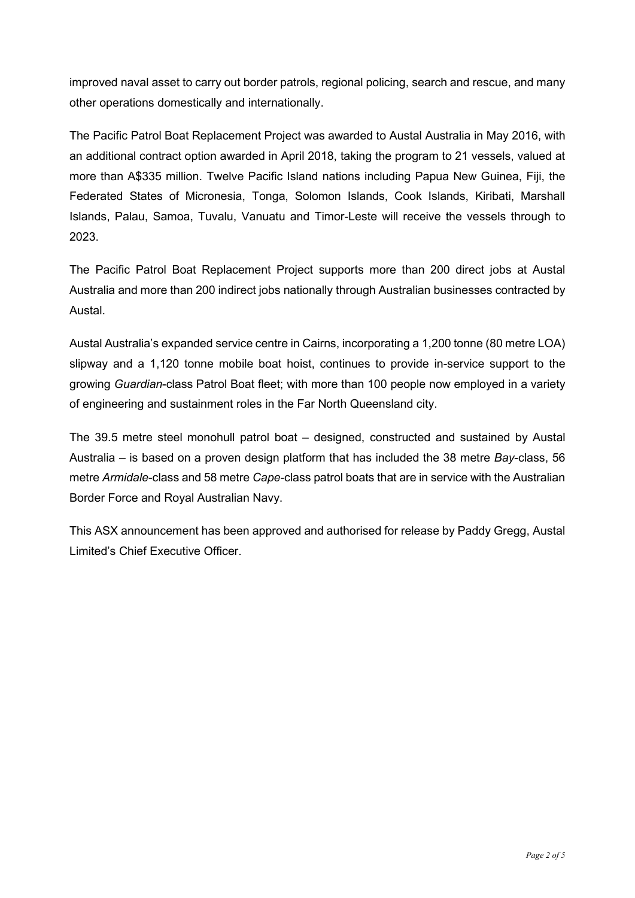improved naval asset to carry out border patrols, regional policing, search and rescue, and many other operations domestically and internationally.

The Pacific Patrol Boat Replacement Project was awarded to Austal Australia in May 2016, with an additional contract option awarded in April 2018, taking the program to 21 vessels, valued at more than A\$335 million. Twelve Pacific Island nations including Papua New Guinea, Fiji, the Federated States of Micronesia, Tonga, Solomon Islands, Cook Islands, Kiribati, Marshall Islands, Palau, Samoa, Tuvalu, Vanuatu and Timor-Leste will receive the vessels through to 2023.

The Pacific Patrol Boat Replacement Project supports more than 200 direct jobs at Austal Australia and more than 200 indirect jobs nationally through Australian businesses contracted by Austal.

Austal Australia's expanded service centre in Cairns, incorporating a 1,200 tonne (80 metre LOA) slipway and a 1,120 tonne mobile boat hoist, continues to provide in-service support to the growing *Guardian*-class Patrol Boat fleet; with more than 100 people now employed in a variety of engineering and sustainment roles in the Far North Queensland city.

The 39.5 metre steel monohull patrol boat – designed, constructed and sustained by Austal Australia – is based on a proven design platform that has included the 38 metre *Bay*-class, 56 metre *Armidale*-class and 58 metre *Cape*-class patrol boats that are in service with the Australian Border Force and Royal Australian Navy.

This ASX announcement has been approved and authorised for release by Paddy Gregg, Austal Limited's Chief Executive Officer.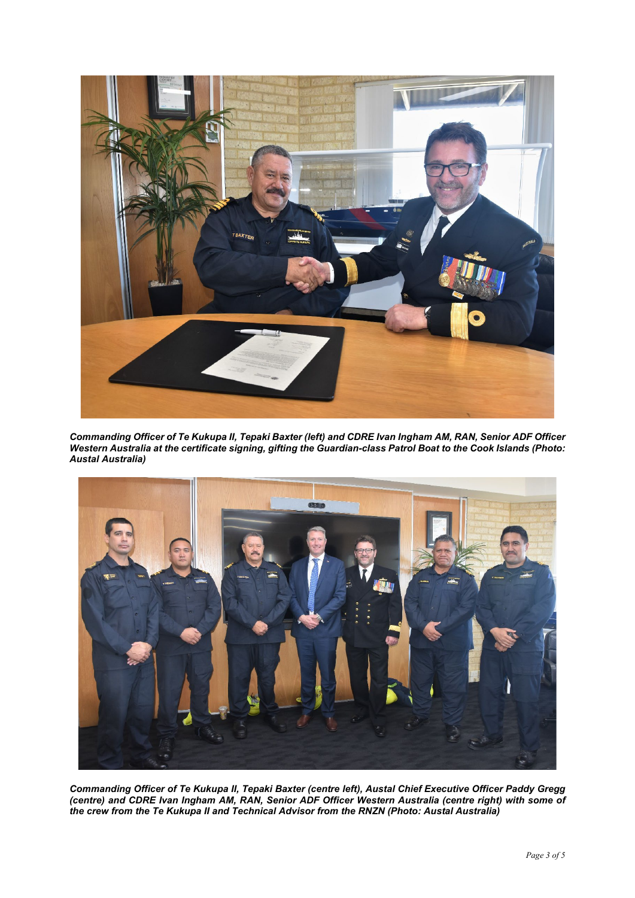

*Commanding Officer of Te Kukupa II, Tepaki Baxter (left) and CDRE Ivan Ingham AM, RAN, Senior ADF Officer Western Australia at the certificate signing, gifting the Guardian-class Patrol Boat to the Cook Islands (Photo: Austal Australia)*



*Commanding Officer of Te Kukupa II, Tepaki Baxter (centre left), Austal Chief Executive Officer Paddy Gregg (centre) and CDRE Ivan Ingham AM, RAN, Senior ADF Officer Western Australia (centre right) with some of the crew from the Te Kukupa II and Technical Advisor from the RNZN (Photo: Austal Australia)*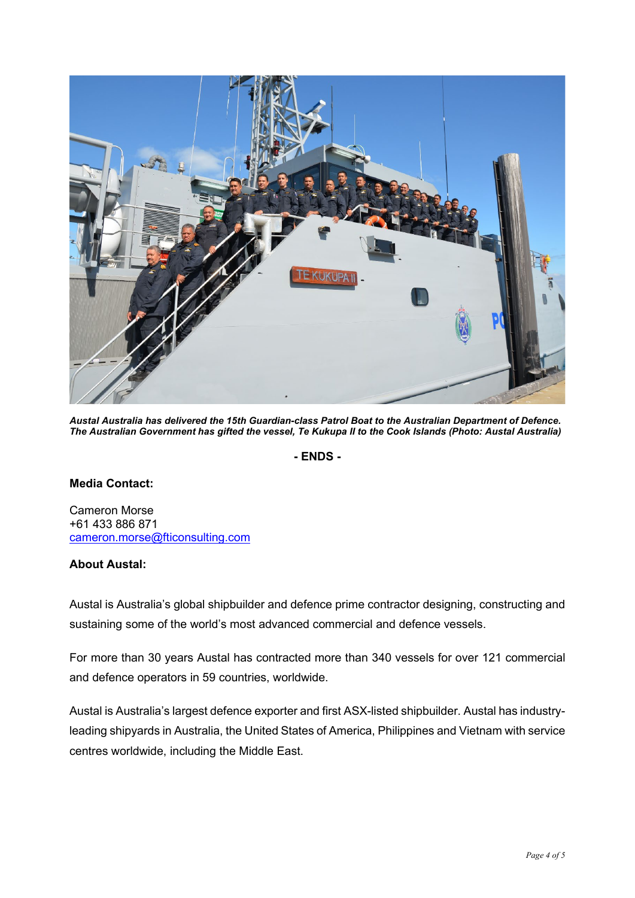

*Austal Australia has delivered the 15th Guardian-class Patrol Boat to the Australian Department of Defence. The Australian Government has gifted the vessel, Te Kukupa II to the Cook Islands (Photo: Austal Australia)*

**- ENDS -**

## **Media Contact:**

Cameron Morse +61 433 886 871 [cameron.morse@fticonsulting.com](mailto:cameron.morse@fticonsulting.com)

## **About Austal:**

Austal is Australia's global shipbuilder and defence prime contractor designing, constructing and sustaining some of the world's most advanced commercial and defence vessels.

For more than 30 years Austal has contracted more than 340 vessels for over 121 commercial and defence operators in 59 countries, worldwide.

Austal is Australia's largest defence exporter and first ASX-listed shipbuilder. Austal has industryleading shipyards in Australia, the United States of America, Philippines and Vietnam with service centres worldwide, including the Middle East.